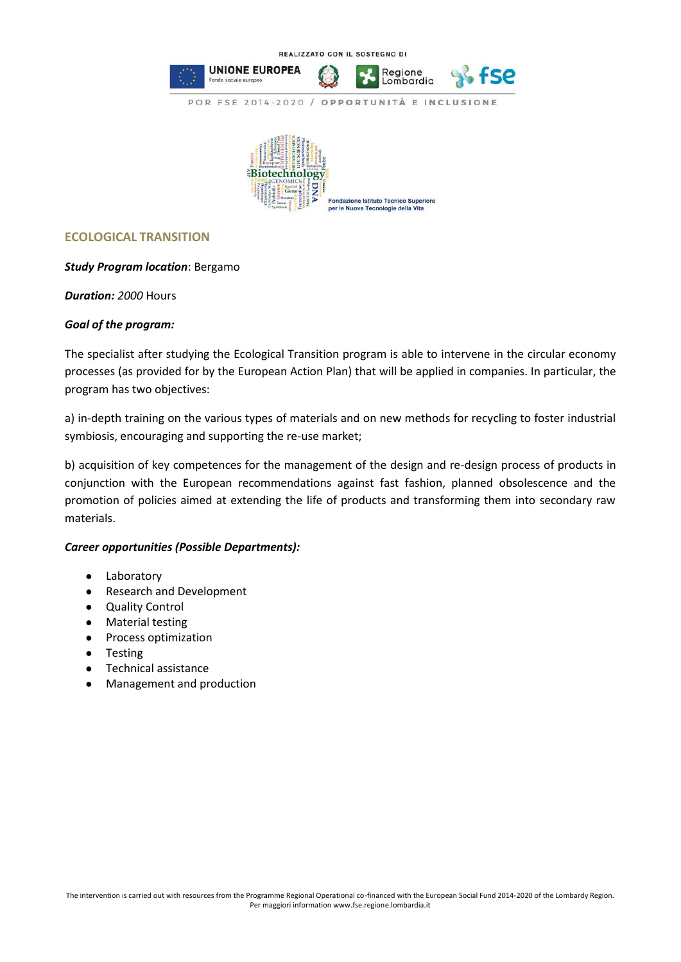

## **ECOLOGICAL TRANSITION**

## *Study Program location*: Bergamo

*Duration: 2000* Hours

## *Goal of the program:*

The specialist after studying the Ecological Transition program is able to intervene in the circular economy processes (as provided for by the European Action Plan) that will be applied in companies. In particular, the program has two objectives:

a) in-depth training on the various types of materials and on new methods for recycling to foster industrial symbiosis, encouraging and supporting the re-use market;

b) acquisition of key competences for the management of the design and re-design process of products in conjunction with the European recommendations against fast fashion, planned obsolescence and the promotion of policies aimed at extending the life of products and transforming them into secondary raw materials.

## *Career opportunities (Possible Departments):*

- Laboratory
- Research and Development
- Quality Control
- Material testing
- Process optimization
- Testing
- Technical assistance
- Management and production